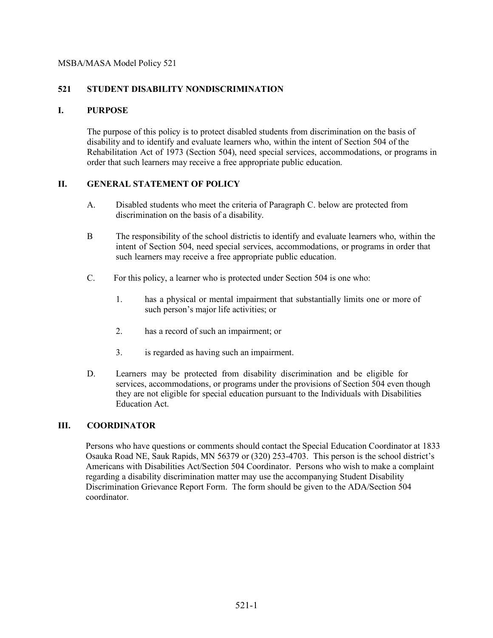## **521 STUDENT DISABILITY NONDISCRIMINATION**

## **I. PURPOSE**

The purpose of this policy is to protect disabled students from discrimination on the basis of disability and to identify and evaluate learners who, within the intent of Section 504 of the Rehabilitation Act of 1973 (Section 504), need special services, accommodations, or programs in order that such learners may receive a free appropriate public education.

## **II. GENERAL STATEMENT OF POLICY**

- A. Disabled students who meet the criteria of Paragraph C. below are protected from discrimination on the basis of a disability.
- B The responsibility of the school districtis to identify and evaluate learners who, within the intent of Section 504, need special services, accommodations, or programs in order that such learners may receive a free appropriate public education.
- C. For this policy, a learner who is protected under Section 504 is one who:
	- 1. has a physical or mental impairment that substantially limits one or more of such person's major life activities; or
	- 2. has a record of such an impairment; or
	- 3. is regarded as having such an impairment.
- D. Learners may be protected from disability discrimination and be eligible for services, accommodations, or programs under the provisions of Section 504 even though they are not eligible for special education pursuant to the Individuals with Disabilities Education Act.

## **III. COORDINATOR**

Persons who have questions or comments should contact the Special Education Coordinator at 1833 Osauka Road NE, Sauk Rapids, MN 56379 or (320) 253-4703. This person is the school district's Americans with Disabilities Act/Section 504 Coordinator. Persons who wish to make a complaint regarding a disability discrimination matter may use the accompanying Student Disability Discrimination Grievance Report Form. The form should be given to the ADA/Section 504 coordinator.